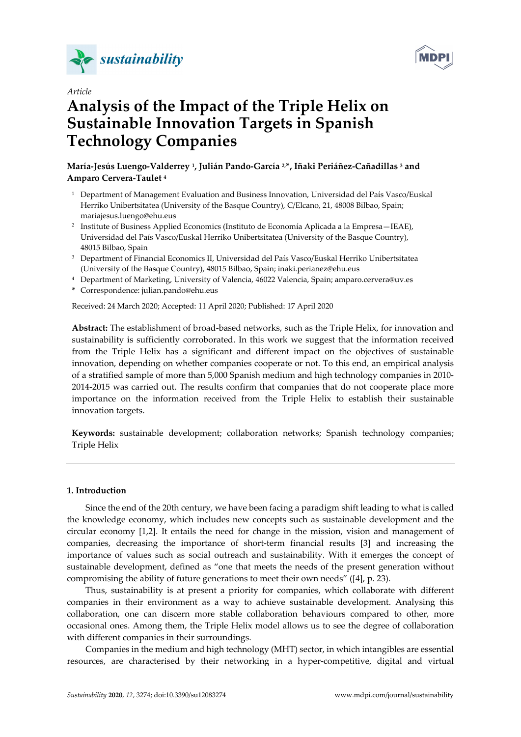



# *Article* **Analysis of the Impact of the Triple Helix on Sustainable Innovation Targets in Spanish Technology Companies**

**María-Jesús Luengo-Valderrey 1, Julián Pando-García 2,\*, Iñaki Periáñez-Cañadillas 3 and Amparo Cervera-Taulet 4** 

- 1 Department of Management Evaluation and Business Innovation, Universidad del País Vasco/Euskal Herriko Unibertsitatea (University of the Basque Country), C/Elcano, 21, 48008 Bilbao, Spain; mariajesus.luengo@ehu.eus
- 2 Institute of Business Applied Economics (Instituto de Economía Aplicada a la Empresa—IEAE), Universidad del País Vasco/Euskal Herriko Unibertsitatea (University of the Basque Country), 48015 Bilbao, Spain
- 3 Department of Financial Economics II, Universidad del País Vasco/Euskal Herriko Unibertsitatea (University of the Basque Country), 48015 Bilbao, Spain; inaki.perianez@ehu.eus
- 4 Department of Marketing, University of Valencia, 46022 Valencia, Spain; amparo.cervera@uv.es
- **\*** Correspondence: julian.pando@ehu.eus

Received: 24 March 2020; Accepted: 11 April 2020; Published: 17 April 2020

**Abstract:** The establishment of broad-based networks, such as the Triple Helix, for innovation and sustainability is sufficiently corroborated. In this work we suggest that the information received from the Triple Helix has a significant and different impact on the objectives of sustainable innovation, depending on whether companies cooperate or not. To this end, an empirical analysis of a stratified sample of more than 5,000 Spanish medium and high technology companies in 2010- 2014-2015 was carried out. The results confirm that companies that do not cooperate place more importance on the information received from the Triple Helix to establish their sustainable innovation targets.

**Keywords:** sustainable development; collaboration networks; Spanish technology companies; Triple Helix

# **1. Introduction**

Since the end of the 20th century, we have been facing a paradigm shift leading to what is called the knowledge economy, which includes new concepts such as sustainable development and the circular economy [1,2]. It entails the need for change in the mission, vision and management of companies, decreasing the importance of short-term financial results [3] and increasing the importance of values such as social outreach and sustainability. With it emerges the concept of sustainable development, defined as "one that meets the needs of the present generation without compromising the ability of future generations to meet their own needs" ([4], p. 23).

Thus, sustainability is at present a priority for companies, which collaborate with different companies in their environment as a way to achieve sustainable development. Analysing this collaboration, one can discern more stable collaboration behaviours compared to other, more occasional ones. Among them, the Triple Helix model allows us to see the degree of collaboration with different companies in their surroundings.

Companies in the medium and high technology (MHT) sector, in which intangibles are essential resources, are characterised by their networking in a hyper-competitive, digital and virtual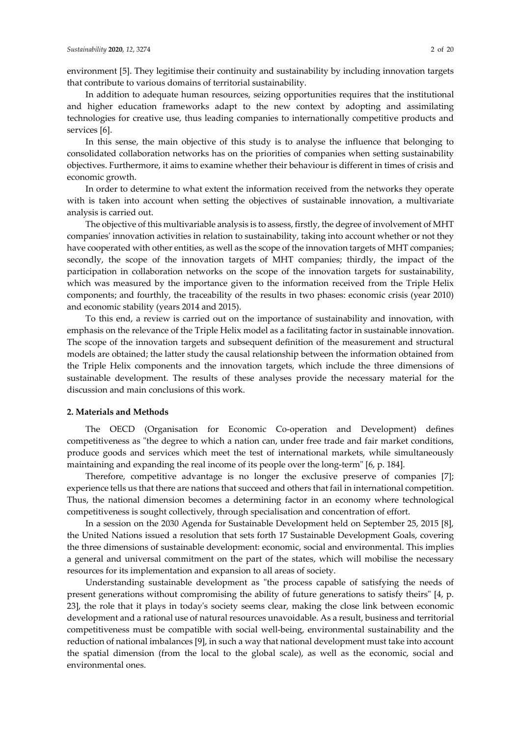environment [5]. They legitimise their continuity and sustainability by including innovation targets that contribute to various domains of territorial sustainability.

In addition to adequate human resources, seizing opportunities requires that the institutional and higher education frameworks adapt to the new context by adopting and assimilating technologies for creative use, thus leading companies to internationally competitive products and services [6].

In this sense, the main objective of this study is to analyse the influence that belonging to consolidated collaboration networks has on the priorities of companies when setting sustainability objectives. Furthermore, it aims to examine whether their behaviour is different in times of crisis and economic growth.

In order to determine to what extent the information received from the networks they operate with is taken into account when setting the objectives of sustainable innovation, a multivariate analysis is carried out.

The objective of this multivariable analysis is to assess, firstly, the degree of involvement of MHT companies' innovation activities in relation to sustainability, taking into account whether or not they have cooperated with other entities, as well as the scope of the innovation targets of MHT companies; secondly, the scope of the innovation targets of MHT companies; thirdly, the impact of the participation in collaboration networks on the scope of the innovation targets for sustainability, which was measured by the importance given to the information received from the Triple Helix components; and fourthly, the traceability of the results in two phases: economic crisis (year 2010) and economic stability (years 2014 and 2015).

To this end, a review is carried out on the importance of sustainability and innovation, with emphasis on the relevance of the Triple Helix model as a facilitating factor in sustainable innovation. The scope of the innovation targets and subsequent definition of the measurement and structural models are obtained; the latter study the causal relationship between the information obtained from the Triple Helix components and the innovation targets, which include the three dimensions of sustainable development. The results of these analyses provide the necessary material for the discussion and main conclusions of this work.

### **2. Materials and Methods**

The OECD (Organisation for Economic Co-operation and Development) defines competitiveness as "the degree to which a nation can, under free trade and fair market conditions, produce goods and services which meet the test of international markets, while simultaneously maintaining and expanding the real income of its people over the long-term" [6, p. 184].

Therefore, competitive advantage is no longer the exclusive preserve of companies [7]; experience tells us that there are nations that succeed and others that fail in international competition. Thus, the national dimension becomes a determining factor in an economy where technological competitiveness is sought collectively, through specialisation and concentration of effort.

In a session on the 2030 Agenda for Sustainable Development held on September 25, 2015 [8], the United Nations issued a resolution that sets forth 17 Sustainable Development Goals, covering the three dimensions of sustainable development: economic, social and environmental. This implies a general and universal commitment on the part of the states, which will mobilise the necessary resources for its implementation and expansion to all areas of society.

Understanding sustainable development as "the process capable of satisfying the needs of present generations without compromising the ability of future generations to satisfy theirs" [4, p. 23], the role that it plays in today's society seems clear, making the close link between economic development and a rational use of natural resources unavoidable. As a result, business and territorial competitiveness must be compatible with social well-being, environmental sustainability and the reduction of national imbalances [9], in such a way that national development must take into account the spatial dimension (from the local to the global scale), as well as the economic, social and environmental ones.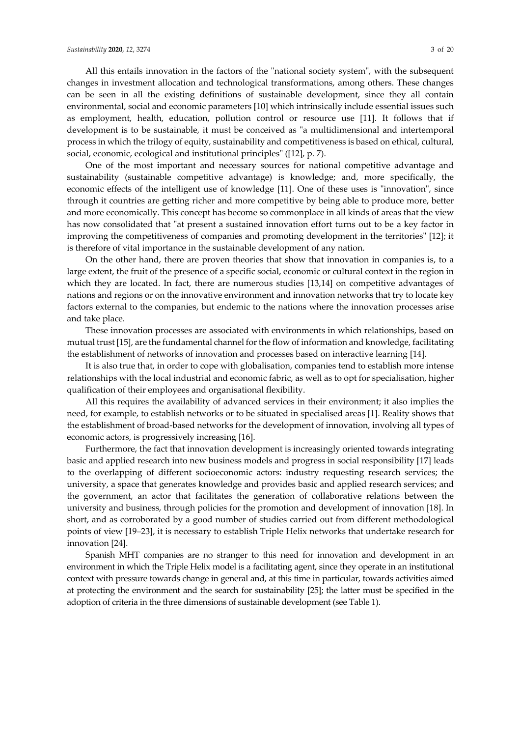All this entails innovation in the factors of the "national society system", with the subsequent changes in investment allocation and technological transformations, among others. These changes can be seen in all the existing definitions of sustainable development, since they all contain environmental, social and economic parameters [10] which intrinsically include essential issues such as employment, health, education, pollution control or resource use [11]. It follows that if development is to be sustainable, it must be conceived as "a multidimensional and intertemporal process in which the trilogy of equity, sustainability and competitiveness is based on ethical, cultural, social, economic, ecological and institutional principles" ([12], p. 7).

One of the most important and necessary sources for national competitive advantage and sustainability (sustainable competitive advantage) is knowledge; and, more specifically, the economic effects of the intelligent use of knowledge [11]. One of these uses is "innovation", since through it countries are getting richer and more competitive by being able to produce more, better and more economically. This concept has become so commonplace in all kinds of areas that the view has now consolidated that "at present a sustained innovation effort turns out to be a key factor in improving the competitiveness of companies and promoting development in the territories" [12]; it is therefore of vital importance in the sustainable development of any nation.

On the other hand, there are proven theories that show that innovation in companies is, to a large extent, the fruit of the presence of a specific social, economic or cultural context in the region in which they are located. In fact, there are numerous studies [13,14] on competitive advantages of nations and regions or on the innovative environment and innovation networks that try to locate key factors external to the companies, but endemic to the nations where the innovation processes arise and take place.

These innovation processes are associated with environments in which relationships, based on mutual trust [15], are the fundamental channel for the flow of information and knowledge, facilitating the establishment of networks of innovation and processes based on interactive learning [14].

It is also true that, in order to cope with globalisation, companies tend to establish more intense relationships with the local industrial and economic fabric, as well as to opt for specialisation, higher qualification of their employees and organisational flexibility.

All this requires the availability of advanced services in their environment; it also implies the need, for example, to establish networks or to be situated in specialised areas [1]. Reality shows that the establishment of broad-based networks for the development of innovation, involving all types of economic actors, is progressively increasing [16].

Furthermore, the fact that innovation development is increasingly oriented towards integrating basic and applied research into new business models and progress in social responsibility [17] leads to the overlapping of different socioeconomic actors: industry requesting research services; the university, a space that generates knowledge and provides basic and applied research services; and the government, an actor that facilitates the generation of collaborative relations between the university and business, through policies for the promotion and development of innovation [18]. In short, and as corroborated by a good number of studies carried out from different methodological points of view [19–23], it is necessary to establish Triple Helix networks that undertake research for innovation [24].

Spanish MHT companies are no stranger to this need for innovation and development in an environment in which the Triple Helix model is a facilitating agent, since they operate in an institutional context with pressure towards change in general and, at this time in particular, towards activities aimed at protecting the environment and the search for sustainability [25]; the latter must be specified in the adoption of criteria in the three dimensions of sustainable development (see Table 1).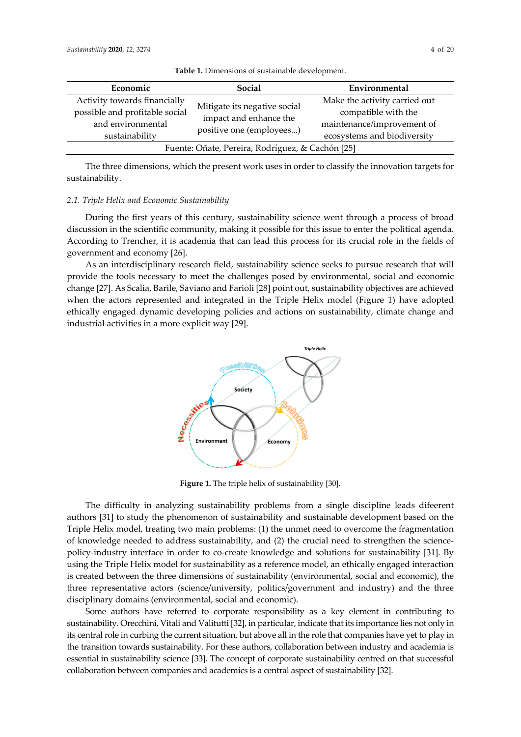| Economic                       | <b>Social</b>                | Environmental                 |
|--------------------------------|------------------------------|-------------------------------|
| Activity towards financially   |                              | Make the activity carried out |
| possible and profitable social | Mitigate its negative social | compatible with the           |
| and environmental              | impact and enhance the       | maintenance/improvement of    |
| sustainability                 | positive one (employees)     | ecosystems and biodiversity   |

**Table 1.** Dimensions of sustainable development.

The three dimensions, which the present work uses in order to classify the innovation targets for sustainability.

Fuente: Oñate, Pereira, Rodríguez, & Cachón [25]

#### *2.1. Triple Helix and Economic Sustainability*

During the first years of this century, sustainability science went through a process of broad discussion in the scientific community, making it possible for this issue to enter the political agenda. According to Trencher, it is academia that can lead this process for its crucial role in the fields of government and economy [26].

As an interdisciplinary research field, sustainability science seeks to pursue research that will provide the tools necessary to meet the challenges posed by environmental, social and economic change [27]. As Scalia, Barile, Saviano and Farioli [28] point out, sustainability objectives are achieved when the actors represented and integrated in the Triple Helix model (Figure 1) have adopted ethically engaged dynamic developing policies and actions on sustainability, climate change and industrial activities in a more explicit way [29].



Figure 1. The triple helix of sustainability [30].

The difficulty in analyzing sustainability problems from a single discipline leads difeerent authors [31] to study the phenomenon of sustainability and sustainable development based on the Triple Helix model, treating two main problems: (1) the unmet need to overcome the fragmentation of knowledge needed to address sustainability, and (2) the crucial need to strengthen the sciencepolicy-industry interface in order to co-create knowledge and solutions for sustainability [31]. By using the Triple Helix model for sustainability as a reference model, an ethically engaged interaction is created between the three dimensions of sustainability (environmental, social and economic), the three representative actors (science/university, politics/government and industry) and the three disciplinary domains (environmental, social and economic).

Some authors have referred to corporate responsibility as a key element in contributing to sustainability. Orecchini, Vitali and Valitutti [32], in particular, indicate that its importance lies not only in its central role in curbing the current situation, but above all in the role that companies have yet to play in the transition towards sustainability. For these authors, collaboration between industry and academia is essential in sustainability science [33]. The concept of corporate sustainability centred on that successful collaboration between companies and academics is a central aspect of sustainability [32].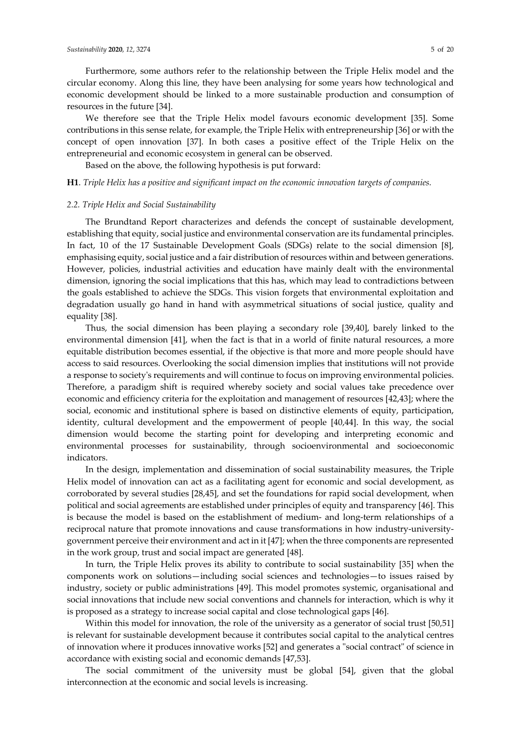Furthermore, some authors refer to the relationship between the Triple Helix model and the circular economy. Along this line, they have been analysing for some years how technological and economic development should be linked to a more sustainable production and consumption of resources in the future [34].

We therefore see that the Triple Helix model favours economic development [35]. Some contributions in this sense relate, for example, the Triple Helix with entrepreneurship [36] or with the concept of open innovation [37]. In both cases a positive effect of the Triple Helix on the entrepreneurial and economic ecosystem in general can be observed.

Based on the above, the following hypothesis is put forward:

## **H1**. *Triple Helix has a positive and significant impact on the economic innovation targets of companies.*

# *2.2. Triple Helix and Social Sustainability*

The Brundtand Report characterizes and defends the concept of sustainable development, establishing that equity, social justice and environmental conservation are its fundamental principles. In fact, 10 of the 17 Sustainable Development Goals (SDGs) relate to the social dimension [8], emphasising equity, social justice and a fair distribution of resources within and between generations. However, policies, industrial activities and education have mainly dealt with the environmental dimension, ignoring the social implications that this has, which may lead to contradictions between the goals established to achieve the SDGs. This vision forgets that environmental exploitation and degradation usually go hand in hand with asymmetrical situations of social justice, quality and equality [38].

Thus, the social dimension has been playing a secondary role [39,40], barely linked to the environmental dimension [41], when the fact is that in a world of finite natural resources, a more equitable distribution becomes essential, if the objective is that more and more people should have access to said resources. Overlooking the social dimension implies that institutions will not provide a response to society's requirements and will continue to focus on improving environmental policies. Therefore, a paradigm shift is required whereby society and social values take precedence over economic and efficiency criteria for the exploitation and management of resources [42,43]; where the social, economic and institutional sphere is based on distinctive elements of equity, participation, identity, cultural development and the empowerment of people [40,44]. In this way, the social dimension would become the starting point for developing and interpreting economic and environmental processes for sustainability, through socioenvironmental and socioeconomic indicators.

In the design, implementation and dissemination of social sustainability measures, the Triple Helix model of innovation can act as a facilitating agent for economic and social development, as corroborated by several studies [28,45], and set the foundations for rapid social development, when political and social agreements are established under principles of equity and transparency [46]. This is because the model is based on the establishment of medium- and long-term relationships of a reciprocal nature that promote innovations and cause transformations in how industry-universitygovernment perceive their environment and act in it [47]; when the three components are represented in the work group, trust and social impact are generated [48].

In turn, the Triple Helix proves its ability to contribute to social sustainability [35] when the components work on solutions—including social sciences and technologies—to issues raised by industry, society or public administrations [49]. This model promotes systemic, organisational and social innovations that include new social conventions and channels for interaction, which is why it is proposed as a strategy to increase social capital and close technological gaps [46].

Within this model for innovation, the role of the university as a generator of social trust [50,51] is relevant for sustainable development because it contributes social capital to the analytical centres of innovation where it produces innovative works [52] and generates a "social contract" of science in accordance with existing social and economic demands [47,53].

The social commitment of the university must be global [54], given that the global interconnection at the economic and social levels is increasing.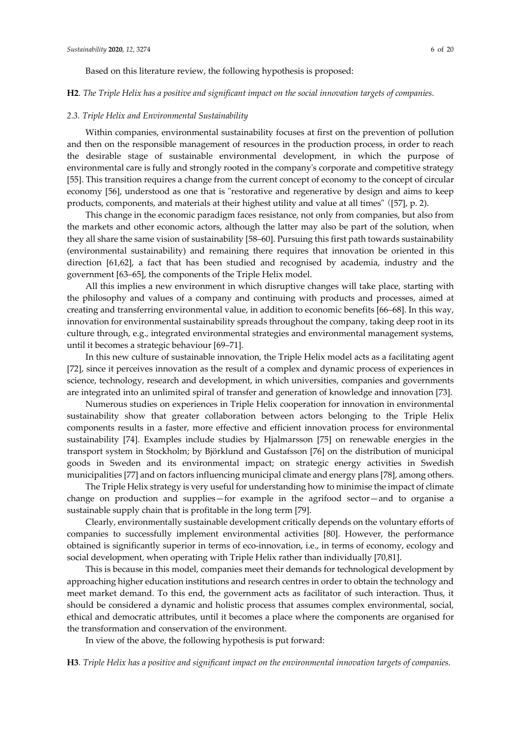Based on this literature review, the following hypothesis is proposed:

# **H2***. The Triple Helix has a positive and significant impact on the social innovation targets of companies.*

### *2.3. Triple Helix and Environmental Sustainability*

Within companies, environmental sustainability focuses at first on the prevention of pollution and then on the responsible management of resources in the production process, in order to reach the desirable stage of sustainable environmental development, in which the purpose of environmental care is fully and strongly rooted in the company's corporate and competitive strategy [55]. This transition requires a change from the current concept of economy to the concept of circular economy [56], understood as one that is "restorative and regenerative by design and aims to keep products, components, and materials at their highest utility and value at all times" ([57], p. 2).

This change in the economic paradigm faces resistance, not only from companies, but also from the markets and other economic actors, although the latter may also be part of the solution, when they all share the same vision of sustainability [58–60]. Pursuing this first path towards sustainability (environmental sustainability) and remaining there requires that innovation be oriented in this direction [61,62], a fact that has been studied and recognised by academia, industry and the government [63–65], the components of the Triple Helix model.

All this implies a new environment in which disruptive changes will take place, starting with the philosophy and values of a company and continuing with products and processes, aimed at creating and transferring environmental value, in addition to economic benefits [66–68]. In this way, innovation for environmental sustainability spreads throughout the company, taking deep root in its culture through, e.g., integrated environmental strategies and environmental management systems, until it becomes a strategic behaviour [69–71].

In this new culture of sustainable innovation, the Triple Helix model acts as a facilitating agent [72], since it perceives innovation as the result of a complex and dynamic process of experiences in science, technology, research and development, in which universities, companies and governments are integrated into an unlimited spiral of transfer and generation of knowledge and innovation [73].

Numerous studies on experiences in Triple Helix cooperation for innovation in environmental sustainability show that greater collaboration between actors belonging to the Triple Helix components results in a faster, more effective and efficient innovation process for environmental sustainability [74]. Examples include studies by Hjalmarsson [75] on renewable energies in the transport system in Stockholm; by Björklund and Gustafsson [76] on the distribution of municipal goods in Sweden and its environmental impact; on strategic energy activities in Swedish municipalities [77] and on factors influencing municipal climate and energy plans [78], among others.

The Triple Helix strategy is very useful for understanding how to minimise the impact of climate change on production and supplies—for example in the agrifood sector—and to organise a sustainable supply chain that is profitable in the long term [79].

Clearly, environmentally sustainable development critically depends on the voluntary efforts of companies to successfully implement environmental activities [80]. However, the performance obtained is significantly superior in terms of eco-innovation, i.e., in terms of economy, ecology and social development, when operating with Triple Helix rather than individually [70,81].

This is because in this model, companies meet their demands for technological development by approaching higher education institutions and research centres in order to obtain the technology and meet market demand. To this end, the government acts as facilitator of such interaction. Thus, it should be considered a dynamic and holistic process that assumes complex environmental, social, ethical and democratic attributes, until it becomes a place where the components are organised for the transformation and conservation of the environment.

In view of the above, the following hypothesis is put forward:

**H3***. Triple Helix has a positive and significant impact on the environmental innovation targets of companies.*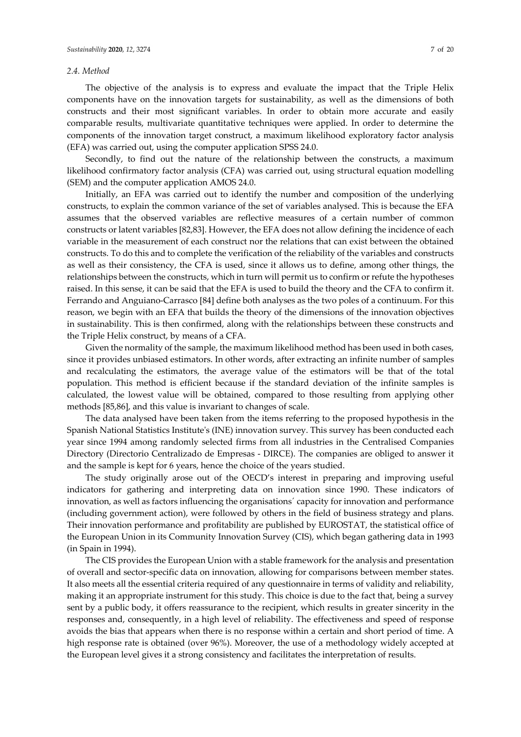## *2.4. Method*

The objective of the analysis is to express and evaluate the impact that the Triple Helix components have on the innovation targets for sustainability, as well as the dimensions of both constructs and their most significant variables. In order to obtain more accurate and easily comparable results, multivariate quantitative techniques were applied. In order to determine the components of the innovation target construct, a maximum likelihood exploratory factor analysis (EFA) was carried out, using the computer application SPSS 24.0.

Secondly, to find out the nature of the relationship between the constructs, a maximum likelihood confirmatory factor analysis (CFA) was carried out, using structural equation modelling (SEM) and the computer application AMOS 24.0.

Initially, an EFA was carried out to identify the number and composition of the underlying constructs, to explain the common variance of the set of variables analysed. This is because the EFA assumes that the observed variables are reflective measures of a certain number of common constructs or latent variables [82,83]. However, the EFA does not allow defining the incidence of each variable in the measurement of each construct nor the relations that can exist between the obtained constructs. To do this and to complete the verification of the reliability of the variables and constructs as well as their consistency, the CFA is used, since it allows us to define, among other things, the relationships between the constructs, which in turn will permit us to confirm or refute the hypotheses raised. In this sense, it can be said that the EFA is used to build the theory and the CFA to confirm it. Ferrando and Anguiano-Carrasco [84] define both analyses as the two poles of a continuum. For this reason, we begin with an EFA that builds the theory of the dimensions of the innovation objectives in sustainability. This is then confirmed, along with the relationships between these constructs and the Triple Helix construct, by means of a CFA.

Given the normality of the sample, the maximum likelihood method has been used in both cases, since it provides unbiased estimators. In other words, after extracting an infinite number of samples and recalculating the estimators, the average value of the estimators will be that of the total population. This method is efficient because if the standard deviation of the infinite samples is calculated, the lowest value will be obtained, compared to those resulting from applying other methods [85,86], and this value is invariant to changes of scale.

The data analysed have been taken from the items referring to the proposed hypothesis in the Spanish National Statistics Institute's (INE) innovation survey. This survey has been conducted each year since 1994 among randomly selected firms from all industries in the Centralised Companies Directory (Directorio Centralizado de Empresas - DIRCE). The companies are obliged to answer it and the sample is kept for 6 years, hence the choice of the years studied.

The study originally arose out of the OECD's interest in preparing and improving useful indicators for gathering and interpreting data on innovation since 1990. These indicators of innovation, as well as factors influencing the organisations´ capacity for innovation and performance (including government action), were followed by others in the field of business strategy and plans. Their innovation performance and profitability are published by EUROSTAT, the statistical office of the European Union in its Community Innovation Survey (CIS), which began gathering data in 1993 (in Spain in 1994).

The CIS provides the European Union with a stable framework for the analysis and presentation of overall and sector-specific data on innovation, allowing for comparisons between member states. It also meets all the essential criteria required of any questionnaire in terms of validity and reliability, making it an appropriate instrument for this study. This choice is due to the fact that, being a survey sent by a public body, it offers reassurance to the recipient, which results in greater sincerity in the responses and, consequently, in a high level of reliability. The effectiveness and speed of response avoids the bias that appears when there is no response within a certain and short period of time. A high response rate is obtained (over 96%). Moreover, the use of a methodology widely accepted at the European level gives it a strong consistency and facilitates the interpretation of results.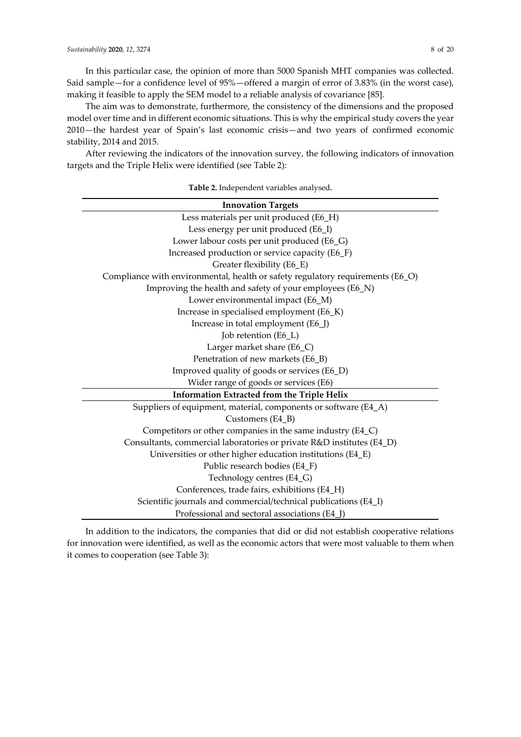In this particular case, the opinion of more than 5000 Spanish MHT companies was collected. Said sample—for a confidence level of 95%—offered a margin of error of 3.83% (in the worst case), making it feasible to apply the SEM model to a reliable analysis of covariance [85].

The aim was to demonstrate, furthermore, the consistency of the dimensions and the proposed model over time and in different economic situations. This is why the empirical study covers the year 2010—the hardest year of Spain's last economic crisis—and two years of confirmed economic stability, 2014 and 2015.

After reviewing the indicators of the innovation survey, the following indicators of innovation targets and the Triple Helix were identified (see Table 2):

| <b>Table 2.</b> Independent variables analysed.                                |  |  |  |  |  |  |
|--------------------------------------------------------------------------------|--|--|--|--|--|--|
| <b>Innovation Targets</b>                                                      |  |  |  |  |  |  |
| Less materials per unit produced (E6_H)                                        |  |  |  |  |  |  |
| Less energy per unit produced (E6_I)                                           |  |  |  |  |  |  |
| Lower labour costs per unit produced (E6_G)                                    |  |  |  |  |  |  |
| Increased production or service capacity (E6_F)                                |  |  |  |  |  |  |
| Greater flexibility (E6_E)                                                     |  |  |  |  |  |  |
| Compliance with environmental, health or safety regulatory requirements (E6_O) |  |  |  |  |  |  |
| Improving the health and safety of your employees (E6_N)                       |  |  |  |  |  |  |
| Lower environmental impact (E6_M)                                              |  |  |  |  |  |  |
| Increase in specialised employment (E6_K)                                      |  |  |  |  |  |  |
| Increase in total employment (E6_J)                                            |  |  |  |  |  |  |
| Job retention (E6_L)                                                           |  |  |  |  |  |  |
| Larger market share (E6_C)                                                     |  |  |  |  |  |  |
| Penetration of new markets (E6_B)                                              |  |  |  |  |  |  |
| Improved quality of goods or services (E6_D)                                   |  |  |  |  |  |  |
| Wider range of goods or services (E6)                                          |  |  |  |  |  |  |
| Information Extracted from the Triple Helix                                    |  |  |  |  |  |  |
| Suppliers of equipment, material, components or software (E4_A)                |  |  |  |  |  |  |
| Customers (E4_B)                                                               |  |  |  |  |  |  |
| Competitors or other companies in the same industry (E4_C)                     |  |  |  |  |  |  |
| Consultants, commercial laboratories or private R&D institutes (E4_D)          |  |  |  |  |  |  |
| Universities or other higher education institutions (E4_E)                     |  |  |  |  |  |  |
| Public research bodies (E4_F)                                                  |  |  |  |  |  |  |
| Technology centres (E4_G)                                                      |  |  |  |  |  |  |
| Conferences, trade fairs, exhibitions (E4_H)                                   |  |  |  |  |  |  |
| Scientific journals and commercial/technical publications (E4_I)               |  |  |  |  |  |  |
| Professional and sectoral associations (E4_J)                                  |  |  |  |  |  |  |

**Table 2.** Independent variables analysed**.**

In addition to the indicators, the companies that did or did not establish cooperative relations for innovation were identified, as well as the economic actors that were most valuable to them when it comes to cooperation (see Table 3):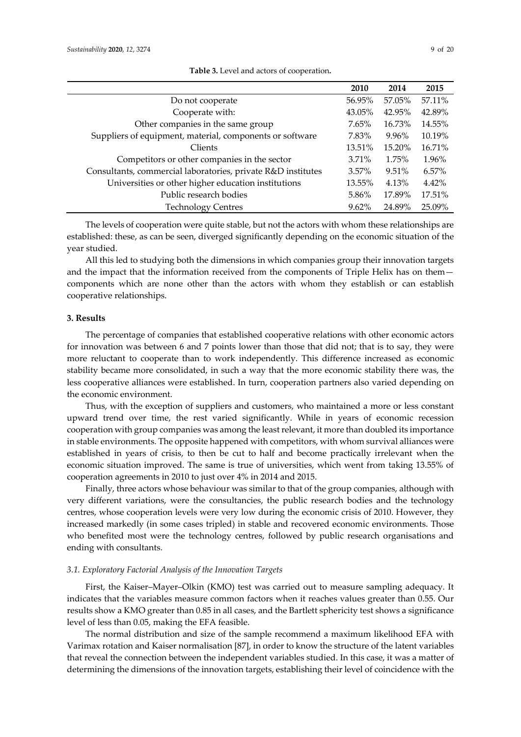|                                                              | 2010     | 2014   | 2015     |
|--------------------------------------------------------------|----------|--------|----------|
| Do not cooperate                                             | 56.95%   | 57.05% | 57.11%   |
| Cooperate with:                                              | 43.05%   | 42.95% | 42.89%   |
| Other companies in the same group                            | $7.65\%$ | 16.73% | 14.55%   |
| Suppliers of equipment, material, components or software     | 7.83%    | 9.96%  | 10.19%   |
| Clients                                                      | 13.51%   | 15.20% | 16.71%   |
| Competitors or other companies in the sector                 | $3.71\%$ | 1.75%  | 1.96%    |
| Consultants, commercial laboratories, private R&D institutes | $3.57\%$ | 9.51%  | $6.57\%$ |
| Universities or other higher education institutions          | 13.55%   | 4.13%  | 4.42%    |
| Public research bodies                                       | 5.86%    | 17.89% | 17.51%   |
| <b>Technology Centres</b>                                    | $9.62\%$ | 24.89% | 25.09%   |

**Table 3.** Level and actors of cooperation**.** 

The levels of cooperation were quite stable, but not the actors with whom these relationships are established: these, as can be seen, diverged significantly depending on the economic situation of the year studied.

All this led to studying both the dimensions in which companies group their innovation targets and the impact that the information received from the components of Triple Helix has on them components which are none other than the actors with whom they establish or can establish cooperative relationships.

# **3. Results**

The percentage of companies that established cooperative relations with other economic actors for innovation was between 6 and 7 points lower than those that did not; that is to say, they were more reluctant to cooperate than to work independently. This difference increased as economic stability became more consolidated, in such a way that the more economic stability there was, the less cooperative alliances were established. In turn, cooperation partners also varied depending on the economic environment.

Thus, with the exception of suppliers and customers, who maintained a more or less constant upward trend over time, the rest varied significantly. While in years of economic recession cooperation with group companies was among the least relevant, it more than doubled its importance in stable environments. The opposite happened with competitors, with whom survival alliances were established in years of crisis, to then be cut to half and become practically irrelevant when the economic situation improved. The same is true of universities, which went from taking 13.55% of cooperation agreements in 2010 to just over 4% in 2014 and 2015.

Finally, three actors whose behaviour was similar to that of the group companies, although with very different variations, were the consultancies, the public research bodies and the technology centres, whose cooperation levels were very low during the economic crisis of 2010. However, they increased markedly (in some cases tripled) in stable and recovered economic environments. Those who benefited most were the technology centres, followed by public research organisations and ending with consultants.

# *3.1. Exploratory Factorial Analysis of the Innovation Targets*

First, the Kaiser–Mayer–Olkin (KMO) test was carried out to measure sampling adequacy. It indicates that the variables measure common factors when it reaches values greater than 0.55. Our results show a KMO greater than 0.85 in all cases, and the Bartlett sphericity test shows a significance level of less than 0.05, making the EFA feasible.

The normal distribution and size of the sample recommend a maximum likelihood EFA with Varimax rotation and Kaiser normalisation [87], in order to know the structure of the latent variables that reveal the connection between the independent variables studied. In this case, it was a matter of determining the dimensions of the innovation targets, establishing their level of coincidence with the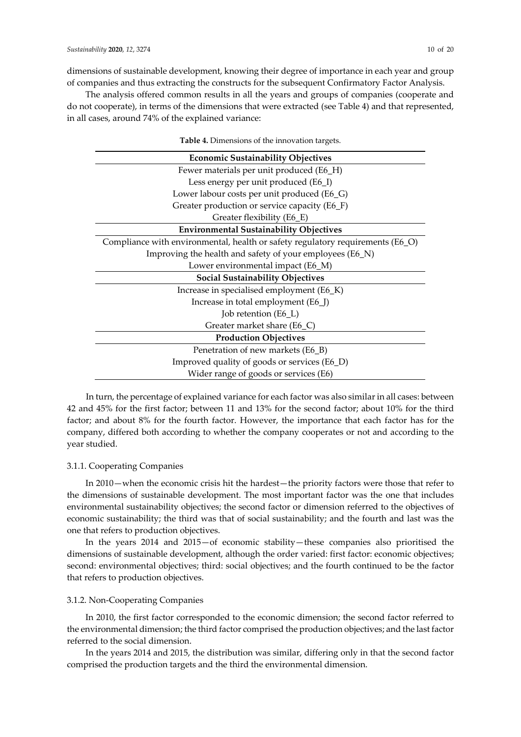dimensions of sustainable development, knowing their degree of importance in each year and group of companies and thus extracting the constructs for the subsequent Confirmatory Factor Analysis.

The analysis offered common results in all the years and groups of companies (cooperate and do not cooperate), in terms of the dimensions that were extracted (see Table 4) and that represented, in all cases, around 74% of the explained variance:

| <b>Economic Sustainability Objectives</b>                                      |  |  |  |  |  |  |
|--------------------------------------------------------------------------------|--|--|--|--|--|--|
| Fewer materials per unit produced (E6_H)                                       |  |  |  |  |  |  |
| Less energy per unit produced (E6_I)                                           |  |  |  |  |  |  |
| Lower labour costs per unit produced (E6_G)                                    |  |  |  |  |  |  |
| Greater production or service capacity (E6_F)                                  |  |  |  |  |  |  |
| Greater flexibility (E6_E)                                                     |  |  |  |  |  |  |
| <b>Environmental Sustainability Objectives</b>                                 |  |  |  |  |  |  |
| Compliance with environmental, health or safety regulatory requirements (E6_O) |  |  |  |  |  |  |
| Improving the health and safety of your employees $(E6_N)$                     |  |  |  |  |  |  |
| Lower environmental impact (E6_M)                                              |  |  |  |  |  |  |
| <b>Social Sustainability Objectives</b>                                        |  |  |  |  |  |  |
| Increase in specialised employment (E6_K)                                      |  |  |  |  |  |  |
| Increase in total employment (E6_J)                                            |  |  |  |  |  |  |
| Job retention (E6 L)                                                           |  |  |  |  |  |  |
| Greater market share (E6_C)                                                    |  |  |  |  |  |  |
| <b>Production Objectives</b>                                                   |  |  |  |  |  |  |
| Penetration of new markets (E6_B)                                              |  |  |  |  |  |  |
| Improved quality of goods or services (E6_D)                                   |  |  |  |  |  |  |
| Wider range of goods or services (E6)                                          |  |  |  |  |  |  |

In turn, the percentage of explained variance for each factor was also similar in all cases: between 42 and 45% for the first factor; between 11 and 13% for the second factor; about 10% for the third factor; and about 8% for the fourth factor. However, the importance that each factor has for the company, differed both according to whether the company cooperates or not and according to the year studied.

# 3.1.1. Cooperating Companies

In 2010—when the economic crisis hit the hardest—the priority factors were those that refer to the dimensions of sustainable development. The most important factor was the one that includes environmental sustainability objectives; the second factor or dimension referred to the objectives of economic sustainability; the third was that of social sustainability; and the fourth and last was the one that refers to production objectives.

In the years 2014 and 2015—of economic stability—these companies also prioritised the dimensions of sustainable development, although the order varied: first factor: economic objectives; second: environmental objectives; third: social objectives; and the fourth continued to be the factor that refers to production objectives.

# 3.1.2. Non-Cooperating Companies

In 2010, the first factor corresponded to the economic dimension; the second factor referred to the environmental dimension; the third factor comprised the production objectives; and the last factor referred to the social dimension.

In the years 2014 and 2015, the distribution was similar, differing only in that the second factor comprised the production targets and the third the environmental dimension.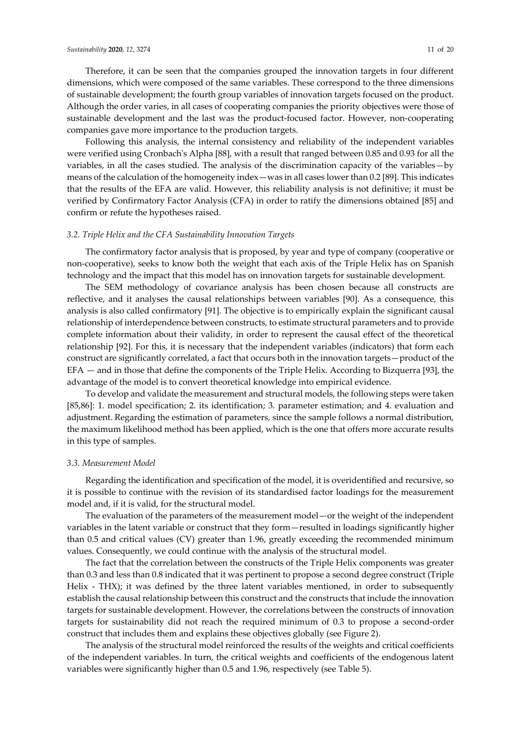Therefore, it can be seen that the companies grouped the innovation targets in four different dimensions, which were composed of the same variables. These correspond to the three dimensions of sustainable development; the fourth group variables of innovation targets focused on the product. Although the order varies, in all cases of cooperating companies the priority objectives were those of sustainable development and the last was the product-focused factor. However, non-cooperating companies gave more importance to the production targets.

Following this analysis, the internal consistency and reliability of the independent variables were verified using Cronbach's Alpha [88], with a result that ranged between 0.85 and 0.93 for all the variables, in all the cases studied. The analysis of the discrimination capacity of the variables—by means of the calculation of the homogeneity index—was in all cases lower than 0.2 [89]. This indicates that the results of the EFA are valid. However, this reliability analysis is not definitive; it must be verified by Confirmatory Factor Analysis (CFA) in order to ratify the dimensions obtained [85] and confirm or refute the hypotheses raised.

## *3.2. Triple Helix and the CFA Sustainability Innovation Targets*

The confirmatory factor analysis that is proposed, by year and type of company (cooperative or non-cooperative), seeks to know both the weight that each axis of the Triple Helix has on Spanish technology and the impact that this model has on innovation targets for sustainable development.

The SEM methodology of covariance analysis has been chosen because all constructs are reflective, and it analyses the causal relationships between variables [90]. As a consequence, this analysis is also called confirmatory [91]. The objective is to empirically explain the significant causal relationship of interdependence between constructs, to estimate structural parameters and to provide complete information about their validity, in order to represent the causal effect of the theoretical relationship [92]. For this, it is necessary that the independent variables (indicators) that form each construct are significantly correlated, a fact that occurs both in the innovation targets—product of the EFA — and in those that define the components of the Triple Helix. According to Bizquerra [93], the advantage of the model is to convert theoretical knowledge into empirical evidence.

To develop and validate the measurement and structural models, the following steps were taken [85,86]: 1. model specification; 2. its identification; 3. parameter estimation; and 4. evaluation and adjustment. Regarding the estimation of parameters, since the sample follows a normal distribution, the maximum likelihood method has been applied, which is the one that offers more accurate results in this type of samples.

#### *3.3. Measurement Model*

Regarding the identification and specification of the model, it is overidentified and recursive, so it is possible to continue with the revision of its standardised factor loadings for the measurement model and, if it is valid, for the structural model.

The evaluation of the parameters of the measurement model—or the weight of the independent variables in the latent variable or construct that they form—resulted in loadings significantly higher than 0.5 and critical values (CV) greater than 1.96, greatly exceeding the recommended minimum values. Consequently, we could continue with the analysis of the structural model.

The fact that the correlation between the constructs of the Triple Helix components was greater than 0.3 and less than 0.8 indicated that it was pertinent to propose a second degree construct (Triple Helix - THX); it was defined by the three latent variables mentioned, in order to subsequently establish the causal relationship between this construct and the constructs that include the innovation targets for sustainable development. However, the correlations between the constructs of innovation targets for sustainability did not reach the required minimum of 0.3 to propose a second-order construct that includes them and explains these objectives globally (see Figure 2).

The analysis of the structural model reinforced the results of the weights and critical coefficients of the independent variables. In turn, the critical weights and coefficients of the endogenous latent variables were significantly higher than 0.5 and 1.96, respectively (see Table 5).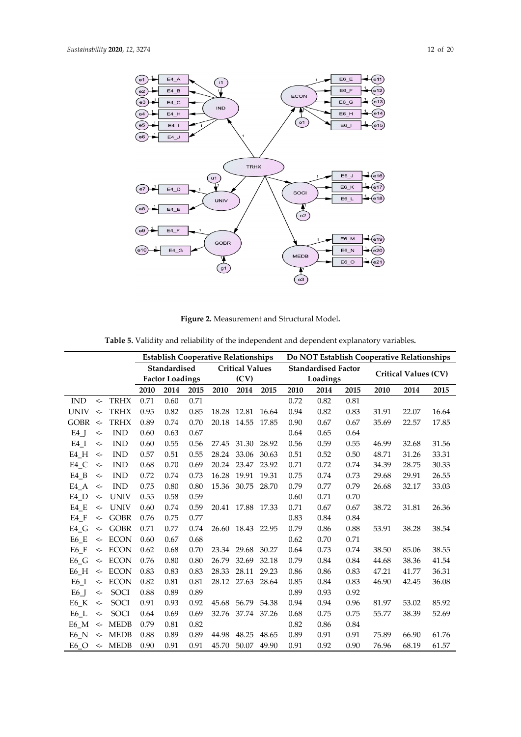

**Figure 2.** Measurement and Structural Model**.** 

**Table 5.** Validity and reliability of the independent and dependent explanatory variables**.** 

|                                |              |                   | <b>Establish Cooperative Relationships</b> |                        |      |                        |                   |                            | Do NOT Establish Cooperative Relationships |      |                             |       |       |       |
|--------------------------------|--------------|-------------------|--------------------------------------------|------------------------|------|------------------------|-------------------|----------------------------|--------------------------------------------|------|-----------------------------|-------|-------|-------|
|                                |              |                   |                                            | Standardised           |      | <b>Critical Values</b> |                   | <b>Standardised Factor</b> |                                            |      | <b>Critical Values (CV)</b> |       |       |       |
|                                |              |                   |                                            | <b>Factor Loadings</b> |      | (CV)                   |                   | Loadings                   |                                            |      |                             |       |       |       |
|                                |              |                   | 2010                                       | 2014<br>2015           |      |                        | 2014              | 2015                       | 2010                                       | 2014 | 2015                        | 2010  | 2014  | 2015  |
| <b>IND</b>                     | $\leftarrow$ | <b>TRHX</b>       | 0.71                                       | 0.60                   | 0.71 |                        |                   |                            | 0.72                                       | 0.82 | 0.81                        |       |       |       |
| <b>UNIV</b>                    | $\leftarrow$ | <b>TRHX</b>       | 0.95                                       | 0.82                   | 0.85 | 18.28                  | 12.81             | 16.64                      | 0.94                                       | 0.82 | 0.83                        | 31.91 | 22.07 | 16.64 |
| GOBR                           | $\leftarrow$ | <b>TRHX</b>       | 0.89                                       | 0.74                   | 0.70 | 20.18                  | 14.55             | 17.85                      | 0.90                                       | 0.67 | 0.67                        | 35.69 | 22.57 | 17.85 |
| E4                             | $\leftarrow$ | <b>IND</b>        | 0.60                                       | 0.63                   | 0.67 |                        |                   |                            | 0.64                                       | 0.65 | 0.64                        |       |       |       |
| E4 I                           | $\leftarrow$ | <b>IND</b>        | 0.60                                       | 0.55                   | 0.56 | 27.45                  | 31.30             | 28.92                      | 0.56                                       | 0.59 | 0.55                        | 46.99 | 32.68 | 31.56 |
| E4 H                           | $\lt$ -      | <b>IND</b>        | 0.57                                       | 0.51                   | 0.55 | 28.24                  | 33.06             | 30.63                      | 0.51                                       | 0.52 | 0.50                        | 48.71 | 31.26 | 33.31 |
| E <sub>4</sub> C               | $\leftarrow$ | <b>IND</b>        | 0.68                                       | 0.70                   | 0.69 | 20.24                  | 23.47             | 23.92                      | 0.71                                       | 0.72 | 0.74                        | 34.39 | 28.75 | 30.33 |
| E4 B                           | $\leftarrow$ | <b>IND</b>        | 0.72                                       | 0.74                   | 0.73 | 16.28                  | 19.91             | 19.31                      | 0.75                                       | 0.74 | 0.73                        | 29.68 | 29.91 | 26.55 |
| E4_A                           | $\leftarrow$ | <b>IND</b>        | 0.75                                       | 0.80                   | 0.80 | 15.36                  | 30.75             | 28.70                      | 0.79                                       | 0.77 | 0.79                        | 26.68 | 32.17 | 33.03 |
| E4 D                           | $\leftarrow$ | <b>UNIV</b>       | 0.55                                       | 0.58                   | 0.59 |                        |                   |                            | 0.60                                       | 0.71 | 0.70                        |       |       |       |
| E4 E                           | $\leftarrow$ | <b>UNIV</b>       | 0.60                                       | 0.74                   | 0.59 |                        | 20.41 17.88 17.33 |                            | 0.71                                       | 0.67 | 0.67                        | 38.72 | 31.81 | 26.36 |
| E4 F                           | $\leftarrow$ | <b>GOBR</b>       | 0.76                                       | 0.75                   | 0.77 |                        |                   |                            | 0.83                                       | 0.84 | 0.84                        |       |       |       |
| $E4_G$                         | $\leftarrow$ | <b>GOBR</b>       | 0.71                                       | 0.77                   | 0.74 | 26.60                  | 18.43 22.95       |                            | 0.79                                       | 0.86 | 0.88                        | 53.91 | 38.28 | 38.54 |
| $E6$ <sub><math>E</math></sub> | $\leftarrow$ | <b>ECON</b>       | 0.60                                       | 0.67                   | 0.68 |                        |                   |                            | 0.62                                       | 0.70 | 0.71                        |       |       |       |
| E6 F                           |              | <- ECON           | 0.62                                       | 0.68                   | 0.70 | 23.34                  | 29.68             | 30.27                      | 0.64                                       | 0.73 | 0.74                        | 38.50 | 85.06 | 38.55 |
| $E6_G$                         |              | <- ECON           | 0.76                                       | 0.80                   | 0.80 | 26.79                  | 32.69             | 32.18                      | 0.79                                       | 0.84 | 0.84                        | 44.68 | 38.36 | 41.54 |
| $E6$ <sub>H</sub>              | $\leftarrow$ | <b>ECON</b>       | 0.83                                       | 0.83                   | 0.83 | 28.33                  | 28.11             | 29.23                      | 0.86                                       | 0.86 | 0.83                        | 47.21 | 41.77 | 36.31 |
| $E6$ <sub>I</sub>              |              | <- ECON           | 0.82                                       | 0.81                   | 0.81 | 28.12                  | 27.63             | 28.64                      | 0.85                                       | 0.84 | 0.83                        | 46.90 | 42.45 | 36.08 |
| E <sub>6</sub> I               | $\leftarrow$ | <b>SOCI</b>       | 0.88                                       | 0.89                   | 0.89 |                        |                   |                            | 0.89                                       | 0.93 | 0.92                        |       |       |       |
| E6 K                           | $\leftarrow$ | <b>SOCI</b>       | 0.91                                       | 0.93                   | 0.92 | 45.68                  | 56.79             | 54.38                      | 0.94                                       | 0.94 | 0.96                        | 81.97 | 53.02 | 85.92 |
| $E6_L$                         | $\leftarrow$ | SOCI              | 0.64                                       | 0.69                   | 0.69 | 32.76                  | 37.74 37.26       |                            | 0.68                                       | 0.75 | 0.75                        | 55.77 | 38.39 | 52.69 |
| E6 M                           | $\leftarrow$ | <b>MEDB</b>       | 0.79                                       | 0.81                   | 0.82 |                        |                   |                            | 0.82                                       | 0.86 | 0.84                        |       |       |       |
| E6 N                           |              | $\leftarrow$ MEDB | 0.88                                       | 0.89                   | 0.89 | 44.98                  | 48.25             | 48.65                      | 0.89                                       | 0.91 | 0.91                        | 75.89 | 66.90 | 61.76 |
| E <sub>6</sub> O               |              | $\leftarrow$ MEDB | 0.90                                       | 0.91                   | 0.91 | 45.70                  | 50.07             | 49.90                      | 0.91                                       | 0.92 | 0.90                        | 76.96 | 68.19 | 61.57 |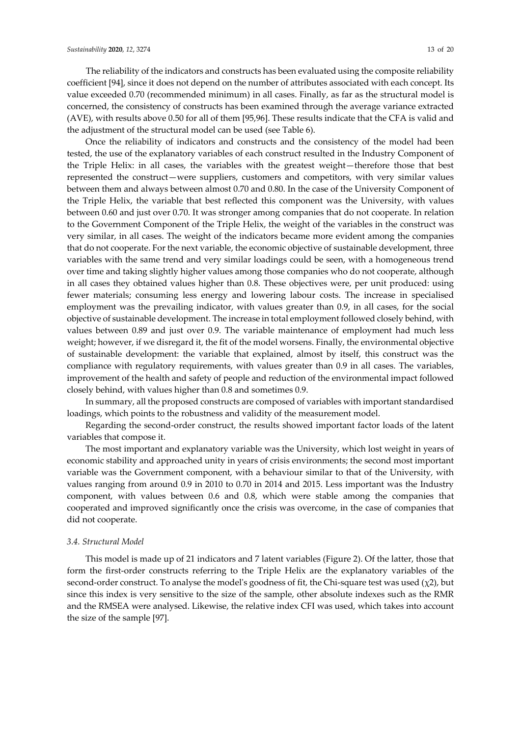The reliability of the indicators and constructs has been evaluated using the composite reliability coefficient [94], since it does not depend on the number of attributes associated with each concept. Its value exceeded 0.70 (recommended minimum) in all cases. Finally, as far as the structural model is concerned, the consistency of constructs has been examined through the average variance extracted (AVE), with results above 0.50 for all of them [95,96]. These results indicate that the CFA is valid and the adjustment of the structural model can be used (see Table 6).

Once the reliability of indicators and constructs and the consistency of the model had been tested, the use of the explanatory variables of each construct resulted in the Industry Component of the Triple Helix: in all cases, the variables with the greatest weight—therefore those that best represented the construct—were suppliers, customers and competitors, with very similar values between them and always between almost 0.70 and 0.80. In the case of the University Component of the Triple Helix, the variable that best reflected this component was the University, with values between 0.60 and just over 0.70. It was stronger among companies that do not cooperate. In relation to the Government Component of the Triple Helix, the weight of the variables in the construct was very similar, in all cases. The weight of the indicators became more evident among the companies that do not cooperate. For the next variable, the economic objective of sustainable development, three variables with the same trend and very similar loadings could be seen, with a homogeneous trend over time and taking slightly higher values among those companies who do not cooperate, although in all cases they obtained values higher than 0.8. These objectives were, per unit produced: using fewer materials; consuming less energy and lowering labour costs. The increase in specialised employment was the prevailing indicator, with values greater than 0.9, in all cases, for the social objective of sustainable development. The increase in total employment followed closely behind, with values between 0.89 and just over 0.9. The variable maintenance of employment had much less weight; however, if we disregard it, the fit of the model worsens. Finally, the environmental objective of sustainable development: the variable that explained, almost by itself, this construct was the compliance with regulatory requirements, with values greater than 0.9 in all cases. The variables, improvement of the health and safety of people and reduction of the environmental impact followed closely behind, with values higher than 0.8 and sometimes 0.9.

In summary, all the proposed constructs are composed of variables with important standardised loadings, which points to the robustness and validity of the measurement model.

Regarding the second-order construct, the results showed important factor loads of the latent variables that compose it.

The most important and explanatory variable was the University, which lost weight in years of economic stability and approached unity in years of crisis environments; the second most important variable was the Government component, with a behaviour similar to that of the University, with values ranging from around 0.9 in 2010 to 0.70 in 2014 and 2015. Less important was the Industry component, with values between 0.6 and 0.8, which were stable among the companies that cooperated and improved significantly once the crisis was overcome, in the case of companies that did not cooperate.

# *3.4. Structural Model*

This model is made up of 21 indicators and 7 latent variables (Figure 2). Of the latter, those that form the first-order constructs referring to the Triple Helix are the explanatory variables of the second-order construct. To analyse the model's goodness of fit, the Chi-square test was used  $(\chi^2)$ , but since this index is very sensitive to the size of the sample, other absolute indexes such as the RMR and the RMSEA were analysed. Likewise, the relative index CFI was used, which takes into account the size of the sample [97].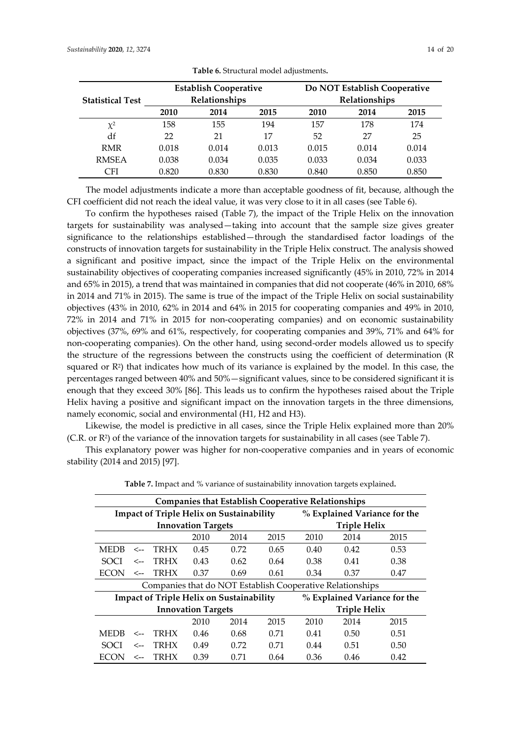|                         |       | <b>Establish Cooperative</b> |       | Do NOT Establish Cooperative |       |       |  |  |  |
|-------------------------|-------|------------------------------|-------|------------------------------|-------|-------|--|--|--|
| <b>Statistical Test</b> |       | Relationships                |       | Relationships                |       |       |  |  |  |
|                         | 2010  | 2014                         | 2015  | 2010                         | 2014  | 2015  |  |  |  |
| $\chi^2$                | 158   | 155                          | 194   | 157                          | 178   | 174   |  |  |  |
| df                      | 22    | 21                           | 17    | 52                           | 27    | 25    |  |  |  |
| <b>RMR</b>              | 0.018 | 0.014                        | 0.013 | 0.015                        | 0.014 | 0.014 |  |  |  |
| <b>RMSEA</b>            | 0.038 | 0.034                        | 0.035 | 0.033                        | 0.034 | 0.033 |  |  |  |
| CFI                     | 0.820 | 0.830                        | 0.830 | 0.840                        | 0.850 | 0.850 |  |  |  |

**Table 6.** Structural model adjustments**.** 

The model adjustments indicate a more than acceptable goodness of fit, because, although the CFI coefficient did not reach the ideal value, it was very close to it in all cases (see Table 6).

To confirm the hypotheses raised (Table 7), the impact of the Triple Helix on the innovation targets for sustainability was analysed—taking into account that the sample size gives greater significance to the relationships established—through the standardised factor loadings of the constructs of innovation targets for sustainability in the Triple Helix construct. The analysis showed a significant and positive impact, since the impact of the Triple Helix on the environmental sustainability objectives of cooperating companies increased significantly (45% in 2010, 72% in 2014 and 65% in 2015), a trend that was maintained in companies that did not cooperate (46% in 2010, 68% in 2014 and 71% in 2015). The same is true of the impact of the Triple Helix on social sustainability objectives (43% in 2010, 62% in 2014 and 64% in 2015 for cooperating companies and 49% in 2010, 72% in 2014 and 71% in 2015 for non-cooperating companies) and on economic sustainability objectives (37%, 69% and 61%, respectively, for cooperating companies and 39%, 71% and 64% for non-cooperating companies). On the other hand, using second-order models allowed us to specify the structure of the regressions between the constructs using the coefficient of determination (R squared or  $\mathbb{R}^2$ ) that indicates how much of its variance is explained by the model. In this case, the percentages ranged between 40% and 50%—significant values, since to be considered significant it is enough that they exceed 30% [86]. This leads us to confirm the hypotheses raised about the Triple Helix having a positive and significant impact on the innovation targets in the three dimensions, namely economic, social and environmental (H1, H2 and H3).

Likewise, the model is predictive in all cases, since the Triple Helix explained more than 20% (C.R. or R2) of the variance of the innovation targets for sustainability in all cases (see Table 7).

This explanatory power was higher for non-cooperative companies and in years of economic stability (2014 and 2015) [97].

| <b>Companies that Establish Cooperative Relationships</b>                       |              |             |                           |              |                     |      |      |      |  |  |
|---------------------------------------------------------------------------------|--------------|-------------|---------------------------|--------------|---------------------|------|------|------|--|--|
| <b>Impact of Triple Helix on Sustainability</b><br>% Explained Variance for the |              |             |                           |              |                     |      |      |      |  |  |
|                                                                                 |              |             | <b>Innovation Targets</b> | Triple Helix |                     |      |      |      |  |  |
| 2010<br>2014<br>2015                                                            |              |             |                           |              |                     |      | 2014 | 2015 |  |  |
| <b>MEDB</b>                                                                     | $\leftarrow$ | <b>TRHX</b> | 0.45                      | 0.72         | 0.65                | 0.40 | 0.42 | 0.53 |  |  |
| <b>SOCI</b>                                                                     | $\lt-$       | TRHX        | 0.43                      | 0.62         | 0.64                | 0.38 | 0.41 | 0.38 |  |  |
| <b>ECON</b>                                                                     | $\leftarrow$ | TRHX        | 0.37                      | 0.69         | 0.61                | 0.34 | 0.37 | 0.47 |  |  |
| Companies that do NOT Establish Cooperative Relationships                       |              |             |                           |              |                     |      |      |      |  |  |
| <b>Impact of Triple Helix on Sustainability</b><br>% Explained Variance for the |              |             |                           |              |                     |      |      |      |  |  |
|                                                                                 |              |             | <b>Innovation Targets</b> |              | <b>Triple Helix</b> |      |      |      |  |  |
|                                                                                 |              |             | 2010                      | 2014         | 2015                | 2010 | 2014 | 2015 |  |  |
| <b>MEDB</b>                                                                     | $\lt-$       | TRHX        | 0.46                      | 0.68         | 0.71                | 0.41 | 0.50 | 0.51 |  |  |
| <b>SOCI</b>                                                                     | $\lt-$       | TRHX        | 0.49                      | 0.72         | 0.71                | 0.44 | 0.51 | 0.50 |  |  |
| ECON                                                                            | $\lt-$       | TRHX        | 0.39                      | 0.71         | 0.64                | 0.36 | 0.46 | 0.42 |  |  |

**Table 7.** Impact and % variance of sustainability innovation targets explained**.**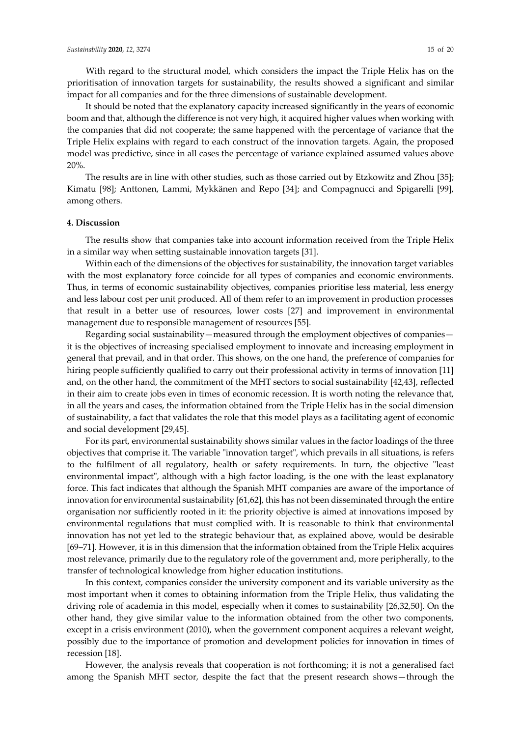With regard to the structural model, which considers the impact the Triple Helix has on the prioritisation of innovation targets for sustainability, the results showed a significant and similar impact for all companies and for the three dimensions of sustainable development.

It should be noted that the explanatory capacity increased significantly in the years of economic boom and that, although the difference is not very high, it acquired higher values when working with the companies that did not cooperate; the same happened with the percentage of variance that the Triple Helix explains with regard to each construct of the innovation targets. Again, the proposed model was predictive, since in all cases the percentage of variance explained assumed values above 20%.

The results are in line with other studies, such as those carried out by Etzkowitz and Zhou [35]; Kimatu [98]; Anttonen, Lammi, Mykkänen and Repo [34]; and Compagnucci and Spigarelli [99], among others.

#### **4. Discussion**

The results show that companies take into account information received from the Triple Helix in a similar way when setting sustainable innovation targets [31].

Within each of the dimensions of the objectives for sustainability, the innovation target variables with the most explanatory force coincide for all types of companies and economic environments. Thus, in terms of economic sustainability objectives, companies prioritise less material, less energy and less labour cost per unit produced. All of them refer to an improvement in production processes that result in a better use of resources, lower costs [27] and improvement in environmental management due to responsible management of resources [55].

Regarding social sustainability—measured through the employment objectives of companies it is the objectives of increasing specialised employment to innovate and increasing employment in general that prevail, and in that order. This shows, on the one hand, the preference of companies for hiring people sufficiently qualified to carry out their professional activity in terms of innovation [11] and, on the other hand, the commitment of the MHT sectors to social sustainability [42,43], reflected in their aim to create jobs even in times of economic recession. It is worth noting the relevance that, in all the years and cases, the information obtained from the Triple Helix has in the social dimension of sustainability, a fact that validates the role that this model plays as a facilitating agent of economic and social development [29,45].

For its part, environmental sustainability shows similar values in the factor loadings of the three objectives that comprise it. The variable "innovation target", which prevails in all situations, is refers to the fulfilment of all regulatory, health or safety requirements. In turn, the objective "least environmental impact", although with a high factor loading, is the one with the least explanatory force. This fact indicates that although the Spanish MHT companies are aware of the importance of innovation for environmental sustainability [61,62], this has not been disseminated through the entire organisation nor sufficiently rooted in it: the priority objective is aimed at innovations imposed by environmental regulations that must complied with. It is reasonable to think that environmental innovation has not yet led to the strategic behaviour that, as explained above, would be desirable [69–71]. However, it is in this dimension that the information obtained from the Triple Helix acquires most relevance, primarily due to the regulatory role of the government and, more peripherally, to the transfer of technological knowledge from higher education institutions.

In this context, companies consider the university component and its variable university as the most important when it comes to obtaining information from the Triple Helix, thus validating the driving role of academia in this model, especially when it comes to sustainability [26,32,50]. On the other hand, they give similar value to the information obtained from the other two components, except in a crisis environment (2010), when the government component acquires a relevant weight, possibly due to the importance of promotion and development policies for innovation in times of recession [18].

However, the analysis reveals that cooperation is not forthcoming; it is not a generalised fact among the Spanish MHT sector, despite the fact that the present research shows—through the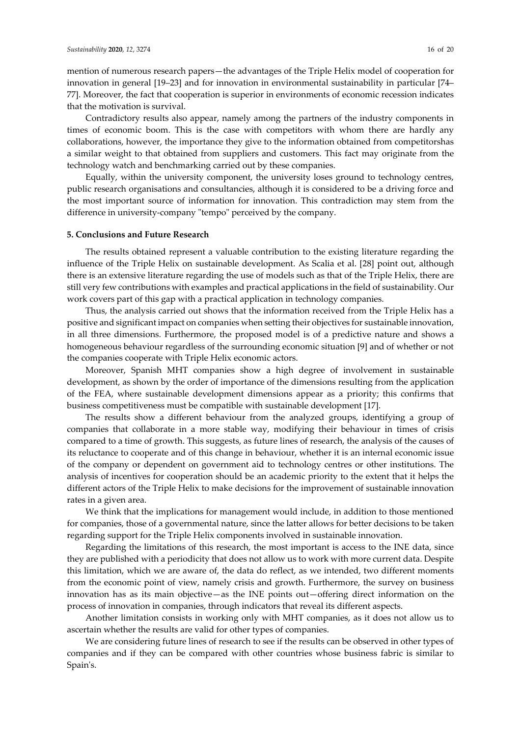mention of numerous research papers—the advantages of the Triple Helix model of cooperation for innovation in general [19–23] and for innovation in environmental sustainability in particular [74– 77]. Moreover, the fact that cooperation is superior in environments of economic recession indicates that the motivation is survival.

Contradictory results also appear, namely among the partners of the industry components in times of economic boom. This is the case with competitors with whom there are hardly any collaborations, however, the importance they give to the information obtained from competitorshas a similar weight to that obtained from suppliers and customers. This fact may originate from the technology watch and benchmarking carried out by these companies.

Equally, within the university component, the university loses ground to technology centres, public research organisations and consultancies, although it is considered to be a driving force and the most important source of information for innovation. This contradiction may stem from the difference in university-company "tempo" perceived by the company.

# **5. Conclusions and Future Research**

The results obtained represent a valuable contribution to the existing literature regarding the influence of the Triple Helix on sustainable development. As Scalia et al. [28] point out, although there is an extensive literature regarding the use of models such as that of the Triple Helix, there are still very few contributions with examples and practical applications in the field of sustainability. Our work covers part of this gap with a practical application in technology companies.

Thus, the analysis carried out shows that the information received from the Triple Helix has a positive and significant impact on companies when setting their objectives for sustainable innovation, in all three dimensions. Furthermore, the proposed model is of a predictive nature and shows a homogeneous behaviour regardless of the surrounding economic situation [9] and of whether or not the companies cooperate with Triple Helix economic actors.

Moreover, Spanish MHT companies show a high degree of involvement in sustainable development, as shown by the order of importance of the dimensions resulting from the application of the FEA, where sustainable development dimensions appear as a priority; this confirms that business competitiveness must be compatible with sustainable development [17].

The results show a different behaviour from the analyzed groups, identifying a group of companies that collaborate in a more stable way, modifying their behaviour in times of crisis compared to a time of growth. This suggests, as future lines of research, the analysis of the causes of its reluctance to cooperate and of this change in behaviour, whether it is an internal economic issue of the company or dependent on government aid to technology centres or other institutions. The analysis of incentives for cooperation should be an academic priority to the extent that it helps the different actors of the Triple Helix to make decisions for the improvement of sustainable innovation rates in a given area.

We think that the implications for management would include, in addition to those mentioned for companies, those of a governmental nature, since the latter allows for better decisions to be taken regarding support for the Triple Helix components involved in sustainable innovation.

Regarding the limitations of this research, the most important is access to the INE data, since they are published with a periodicity that does not allow us to work with more current data. Despite this limitation, which we are aware of, the data do reflect, as we intended, two different moments from the economic point of view, namely crisis and growth. Furthermore, the survey on business innovation has as its main objective—as the INE points out—offering direct information on the process of innovation in companies, through indicators that reveal its different aspects.

Another limitation consists in working only with MHT companies, as it does not allow us to ascertain whether the results are valid for other types of companies.

We are considering future lines of research to see if the results can be observed in other types of companies and if they can be compared with other countries whose business fabric is similar to Spain's.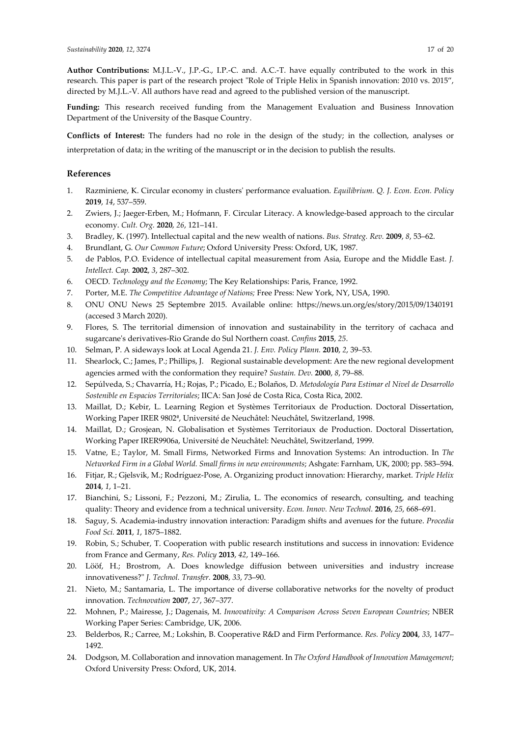**Author Contributions:** M.J.L.-V., J.P.-G., I.P.-C. and. A.C.-T. have equally contributed to the work in this research. This paper is part of the research project "Role of Triple Helix in Spanish innovation: 2010 vs. 2015", directed by M.J.L.-V. All authors have read and agreed to the published version of the manuscript.

**Funding:** This research received funding from the Management Evaluation and Business Innovation Department of the University of the Basque Country.

**Conflicts of Interest:** The funders had no role in the design of the study; in the collection, analyses or interpretation of data; in the writing of the manuscript or in the decision to publish the results.

# **References**

- 1. Razminiene, K. Circular economy in clusters' performance evaluation. *Equilibrium. Q. J. Econ. Econ. Policy*  **2019**, *14*, 537–559.
- 2. Zwiers, J.; Jaeger-Erben, M.; Hofmann, F. Circular Literacy. A knowledge-based approach to the circular economy. *Cult. Org.* **2020**, *26*, 121–141.
- 3. Bradley, K. (1997). Intellectual capital and the new wealth of nations. *Bus. Strateg. Rev.* **2009**, *8*, 53–62.
- 4. Brundlant, G. *Our Common Future*; Oxford University Press: Oxford, UK, 1987.
- 5. de Pablos, P.O. Evidence of intellectual capital measurement from Asia, Europe and the Middle East. *J. Intellect. Cap.* **2002**, *3*, 287–302.
- 6. OECD. *Technology and the Economy*; The Key Relationships: Paris, France, 1992.
- 7. Porter, M.E. *The Competitive Advantage of Nations;* Free Press: New York, NY, USA, 1990.
- 8. ONU ONU News 25 Septembre 2015. Available online: https://news.un.org/es/story/2015/09/1340191 (accesed 3 March 2020).
- 9. Flores, S. The territorial dimension of innovation and sustainability in the territory of cachaca and sugarcane's derivatives-Rio Grande do Sul Northern coast. *Confins* **2015**, *25*.
- 10. Selman, P. A sideways look at Local Agenda 21. *J. Env. Policy Plann.* **2010**, *2*, 39–53.
- 11. Shearlock, C.; James, P.; Phillips, J. Regional sustainable development: Are the new regional development agencies armed with the conformation they require? *Sustain. Dev.* **2000**, *8*, 79–88.
- 12. Sepúlveda, S.; Chavarría, H.; Rojas, P.; Picado, E.; Bolaños, D. *Metodología Para Estimar el Nivel de Desarrollo Sostenible en Espacios Territoriales*; IICA: San José de Costa Rica, Costa Rica, 2002.
- 13. Maillat, D.; Kebir, L. Learning Region et Systèmes Territoriaux de Production. Doctoral Dissertation, Working Paper IRER 9802ª, Université de Neuchâtel: Neuchâtel, Switzerland, 1998.
- 14. Maillat, D.; Grosjean, N. Globalisation et Systèmes Territoriaux de Production. Doctoral Dissertation, Working Paper IRER9906a, Université de Neuchâtel: Neuchâtel, Switzerland, 1999.
- 15. Vatne, E.; Taylor, M. Small Firms, Networked Firms and Innovation Systems: An introduction. In *The Networked Firm in a Global World. Small firms in new environments*; Ashgate: Farnham, UK, 2000; pp. 583–594.
- 16. Fitjar, R.; Gjelsvik, M.; Rodríguez-Pose, A. Organizing product innovation: Hierarchy, market. *Triple Helix*  **2014**, *1*, 1–21.
- 17. Bianchini, S.; Lissoni, F.; Pezzoni, M.; Zirulia, L. The economics of research, consulting, and teaching quality: Theory and evidence from a technical university. *Econ. Innov. New Technol.* **2016**, *25*, 668–691.
- 18. Saguy, S. Academia-industry innovation interaction: Paradigm shifts and avenues for the future. *Procedia Food Sci.* **2011**, *1*, 1875–1882.
- 19. Robin, S.; Schuber, T. Cooperation with public research institutions and success in innovation: Evidence from France and Germany, *Res. Policy* **2013**, *42*, 149–166.
- 20. Lööf, H.; Brostrom, A. Does knowledge diffusion between universities and industry increase innovativeness?" *J. Technol. Transfer.* **2008**, *33*, 73–90.
- 21. Nieto, M.; Santamaria, L. The importance of diverse collaborative networks for the novelty of product innovation. *Technovation* **2007**, *27*, 367–377.
- 22. Mohnen, P.; Mairesse, J.; Dagenais, M. *Innovativity: A Comparison Across Seven European Countries*; NBER Working Paper Series: Cambridge, UK, 2006.
- 23. Belderbos, R.; Carree, M.; Lokshin, B. Cooperative R&D and Firm Performance. *Res. Policy* **2004**, *33*, 1477– 1492.
- 24. Dodgson, M. Collaboration and innovation management. In *The Oxford Handbook of Innovation Management*; Oxford University Press: Oxford, UK, 2014.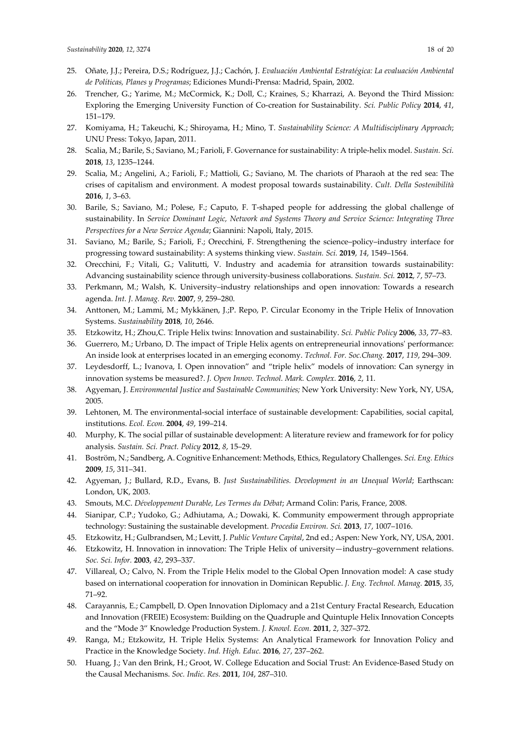- 25. Oñate, J.J.; Pereira, D.S.; Rodríguez, J.J.; Cachón, J. *Evaluación Ambiental Estratégica: La evaluación Ambiental de Políticas, Planes y Programas*; Ediciones Mundi-Prensa: Madrid, Spain, 2002.
- 26. Trencher, G.; Yarime, M.; McCormick, K.; Doll, C.; Kraines, S.; Kharrazi, A. Beyond the Third Mission: Exploring the Emerging University Function of Co-creation for Sustainability. *Sci. Public Policy* **2014**, *41*, 151–179.
- 27. Komiyama, H.; Takeuchi, K.; Shiroyama, H.; Mino, T. *Sustainability Science: A Multidisciplinary Approach*; UNU Press: Tokyo, Japan, 2011.
- 28. Scalia, M.; Barile, S.; Saviano, M.; Farioli, F. Governance for sustainability: A triple-helix model. *Sustain. Sci.*  **2018**, *13*, 1235–1244.
- 29. Scalia, M.; Angelini, A.; Farioli, F.; Mattioli, G.; Saviano, M. The chariots of Pharaoh at the red sea: The crises of capitalism and environment. A modest proposal towards sustainability. *Cult. Della Sostenibilità*  **2016**, *1*, 3–63.
- 30. Barile, S.; Saviano, M.; Polese, F.; Caputo, F. T-shaped people for addressing the global challenge of sustainability. In *Service Dominant Logic, Network and Systems Theory and Service Science: Integrating Three Perspectives for a New Service Agenda*; Giannini: Napoli, Italy, 2015.
- 31. Saviano, M.; Barile, S.; Farioli, F.; Orecchini, F. Strengthening the science–policy–industry interface for progressing toward sustainability: A systems thinking view. *Sustain. Sci.* **2019**, *14*, 1549–1564.
- 32. Orecchini, F.; Vitali, G.; Valitutti, V. Industry and academia for atransition towards sustainability: Advancing sustainability science through university-business collaborations. *Sustain. Sci.* **2012**, *7*, 57–73.
- 33. Perkmann, M.; Walsh, K. University–industry relationships and open innovation: Towards a research agenda. *Int. J. Manag. Rev.* **2007**, *9*, 259–280.
- 34. Anttonen, M.; Lammi, M.; Mykkänen, J.;P. Repo, P. Circular Economy in the Triple Helix of Innovation Systems. *Sustainability* **2018**, *10*, 2646.
- 35. Etzkowitz, H.; Zhou,C. Triple Helix twins: Innovation and sustainability. *Sci. Public Policy* **2006**, *33*, 77–83.
- 36. Guerrero, M.; Urbano, D. The impact of Triple Helix agents on entrepreneurial innovations' performance: An inside look at enterprises located in an emerging economy. *Technol. For. Soc.Chang.* **2017**, *119*, 294–309.
- 37. Leydesdorff, L.; Ivanova, I. Open innovation" and "triple helix" models of innovation: Can synergy in innovation systems be measured?. *J. Open Innov. Technol. Mark. Complex.* **2016**, *2*, 11.
- 38. Agyeman, J. *Environmental Justice and Sustainable Communities;* New York University: New York, NY, USA, 2005.
- 39. Lehtonen, M. The environmental-social interface of sustainable development: Capabilities, social capital, institutions. *Ecol. Econ.* **2004**, *49*, 199–214.
- 40. Murphy, K. The social pillar of sustainable development: A literature review and framework for for policy analysis. *Sustain. Sci. Pract. Policy* **2012**, *8*, 15–29.
- 41. Boström, N.; Sandberg, A. Cognitive Enhancement: Methods, Ethics, Regulatory Challenges. *Sci. Eng. Ethics*  **2009**, *15*, 311–341.
- 42. Agyeman, J.; Bullard, R.D., Evans, B. *Just Sustainabilities. Development in an Unequal World*; Earthscan: London, UK, 2003.
- 43. Smouts, M.C. *Développement Durable, Les Termes du Débat*; Armand Colin: Paris, France, 2008.
- 44. Sianipar, C.P.; Yudoko, G.; Adhiutama, A.; Dowaki, K. Community empowerment through appropriate technology: Sustaining the sustainable development. *Procedia Environ. Sci.* **2013**, *17*, 1007–1016.
- 45. Etzkowitz, H.; Gulbrandsen, M.; Levitt, J. *Public Venture Capital*, 2nd ed.; Aspen: New York, NY, USA, 2001.
- 46. Etzkowitz, H. Innovation in innovation: The Triple Helix of university—industry–government relations. *Soc. Sci. Infor.* **2003**, *42*, 293–337.
- 47. Villareal, O.; Calvo, N. From the Triple Helix model to the Global Open Innovation model: A case study based on international cooperation for innovation in Dominican Republic. *J. Eng. Technol. Manag.* **2015**, *35*, 71–92.
- 48. Carayannis, E.; Campbell, D. Open Innovation Diplomacy and a 21st Century Fractal Research, Education and Innovation (FREIE) Ecosystem: Building on the Quadruple and Quintuple Helix Innovation Concepts and the "Mode 3" Knowledge Production System. *J. Knowl. Econ.* **2011**, *2*, 327–372.
- 49. Ranga, M.; Etzkowitz, H. Triple Helix Systems: An Analytical Framework for Innovation Policy and Practice in the Knowledge Society. *Ind. High. Educ.* **2016**, *27*, 237–262.
- 50. Huang, J.; Van den Brink, H.; Groot, W. College Education and Social Trust: An Evidence-Based Study on the Causal Mechanisms. *Soc. Indic. Res.* **2011**, *104*, 287–310.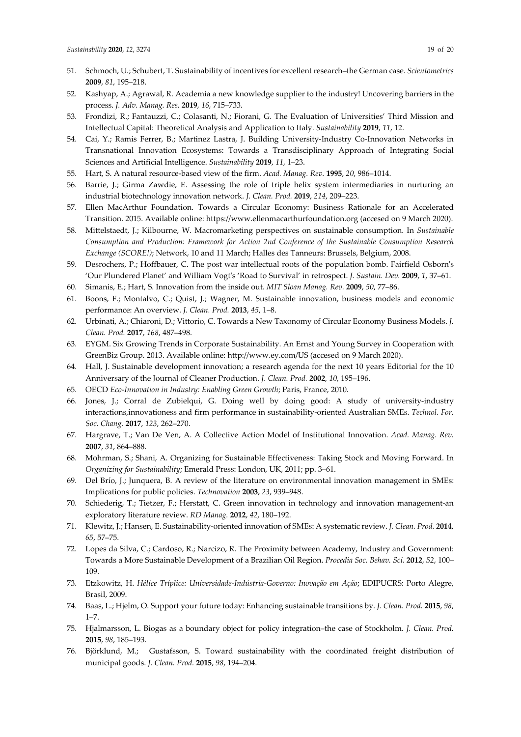- 51. Schmoch, U.; Schubert, T. Sustainability of incentives for excellent research–the German case. *Scientometrics*  **2009**, *81*, 195–218.
- 52. Kashyap, A.; Agrawal, R. Academia a new knowledge supplier to the industry! Uncovering barriers in the process. *J. Adv. Manag. Res.* **2019**, *16*, 715–733.
- 53. Frondizi, R.; Fantauzzi, C.; Colasanti, N.; Fiorani, G. The Evaluation of Universities' Third Mission and Intellectual Capital: Theoretical Analysis and Application to Italy. *Sustainability* **2019**, *11*, 12.
- 54. Cai, Y.; Ramis Ferrer, B.; Martinez Lastra, J. Building University-Industry Co-Innovation Networks in Transnational Innovation Ecosystems: Towards a Transdisciplinary Approach of Integrating Social Sciences and Artificial Intelligence. *Sustainability* **2019**, *11*, 1–23.
- 55. Hart, S. A natural resource-based view of the firm. *Acad. Manag. Rev.* **1995**, *20*, 986–1014.
- 56. Barrie, J.; Girma Zawdie, E. Assessing the role of triple helix system intermediaries in nurturing an industrial biotechnology innovation network. *J. Clean. Prod.* **2019**, *214*, 209–223.
- 57. Ellen MacArthur Foundation. Towards a Circular Economy: Business Rationale for an Accelerated Transition. 2015. Available online: https://www.ellenmacarthurfoundation.org (accesed on 9 March 2020).
- 58. Mittelstaedt, J.; Kilbourne, W. Macromarketing perspectives on sustainable consumption. In *Sustainable Consumption and Production: Framework for Action 2nd Conference of the Sustainable Consumption Research Exchange (SCORE!)*; Network, 10 and 11 March; Halles des Tanneurs: Brussels, Belgium, 2008.
- 59. Desrochers, P.; Hoffbauer, C. The post war intellectual roots of the population bomb. Fairfield Osborn's 'Our Plundered Planet' and William Vogt's 'Road to Survival' in retrospect. *J. Sustain. Dev.* **2009**, *1*, 37–61.
- 60. Simanis, E.; Hart, S. Innovation from the inside out. *MIT Sloan Manag. Rev.* **2009**, *50*, 77–86.
- 61. Boons, F.; Montalvo, C.; Quist, J.; Wagner, M. Sustainable innovation, business models and economic performance: An overview. *J. Clean. Prod.* **2013**, *45*, 1–8.
- 62. Urbinati, A.; Chiaroni, D.; Vittorio, C. Towards a New Taxonomy of Circular Economy Business Models. *J. Clean. Prod.* **2017**, *168*, 487–498.
- 63. EYGM. Six Growing Trends in Corporate Sustainability. An Ernst and Young Survey in Cooperation with GreenBiz Group. 2013. Available online: http://www.ey.com/US (accesed on 9 March 2020).
- 64. Hall, J. Sustainable development innovation; a research agenda for the next 10 years Editorial for the 10 Anniversary of the Journal of Cleaner Production. *J. Clean. Prod.* **2002**, *10*, 195–196.
- 65. OECD *Eco‐Innovation in Industry: Enabling Green Growth*; Paris, France, 2010.
- 66. Jones, J.; Corral de Zubielqui, G. Doing well by doing good: A study of university-industry interactions,innovationess and firm performance in sustainability-oriented Australian SMEs. *Technol. For. Soc. Chang.* **2017**, *123*, 262–270.
- 67. Hargrave, T.; Van De Ven, A. A Collective Action Model of Institutional Innovation. *Acad. Manag. Rev.*  **2007**, *31*, 864–888.
- 68. Mohrman, S.; Shani, A. Organizing for Sustainable Effectiveness: Taking Stock and Moving Forward. In *Organizing for Sustainability*; Emerald Press: London, UK, 2011; pp. 3–61.
- 69. Del Brío, J.; Junquera, B. A review of the literature on environmental innovation management in SMEs: Implications for public policies. *Technovation* **2003**, *23*, 939–948.
- 70. Schiederig, T.; Tietzer, F.; Herstatt, C. Green innovation in technology and innovation management-an exploratory literature review. *RD Manag.* **2012**, *42*, 180–192.
- 71. Klewitz, J.; Hansen, E. Sustainability-oriented innovation of SMEs: A systematic review. *J. Clean. Prod.* **2014**, *65*, 57–75.
- 72. Lopes da Silva, C.; Cardoso, R.; Narcizo, R. The Proximity between Academy, Industry and Government: Towards a More Sustainable Development of a Brazilian Oil Region. *Procedia Soc. Behav. Sci.* **2012**, *52*, 100– 109.
- 73. Etzkowitz, H. *Hélice Tríplice: Universidade‐Indústria‐Governo: Inovação em Ação*; EDIPUCRS: Porto Alegre, Brasil, 2009.
- 74. Baas, L.; Hjelm, O. Support your future today: Enhancing sustainable transitions by. *J. Clean. Prod.* **2015**, *98*,  $1 - 7$ .
- 75. Hjalmarsson, L. Biogas as a boundary object for policy integration–the case of Stockholm. *J. Clean. Prod.*  **2015**, *98*, 185–193.
- 76. Björklund, M.; Gustafsson, S. Toward sustainability with the coordinated freight distribution of municipal goods. *J. Clean. Prod.* **2015**, *98*, 194–204.